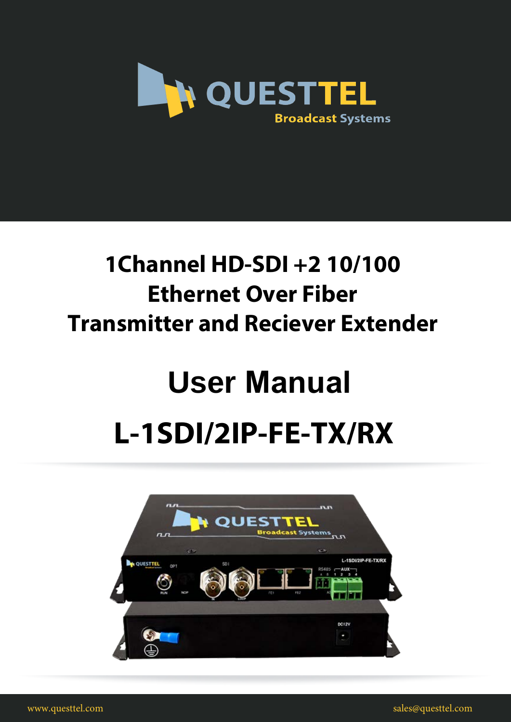

# **1Channel HD-SDI +2 10/100 Ethernet Over Fiber Transmitter and Reciever Extender**

# **User Manual L-1SDI/2IP-FE-TX/RX**



www.questtel.com sales@questtel.com sales@questtel.com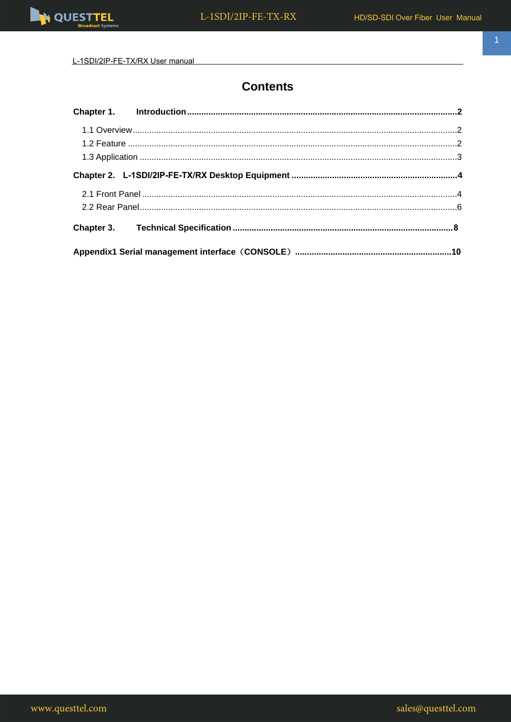

L-1SDI/2IP-FE-TX/RX User manual

### **Contents**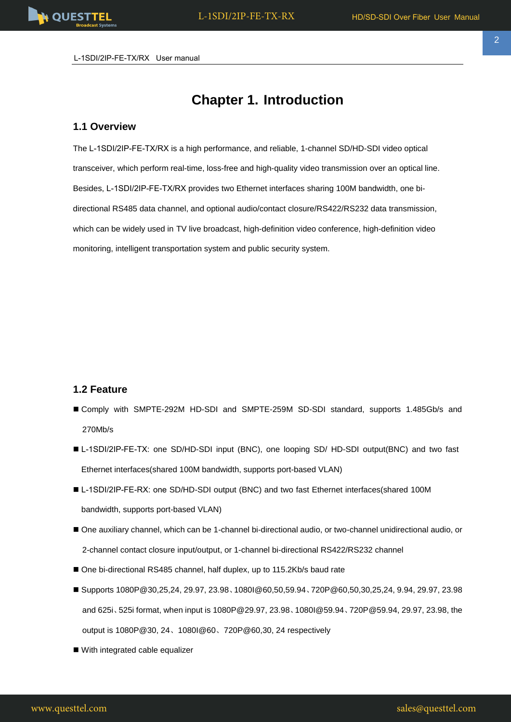<span id="page-2-0"></span>L-1SDI/2IP-FE-TX/RX User manual

## **Chapter 1. Introduction**

#### <span id="page-2-1"></span>**1.1 Overview**

The L-1SDI/2IP-FE-TX/RX is a high performance, and reliable, 1-channel SD/HD-SDI video optical transceiver, which perform real-time, loss-free and high-quality video transmission over an optical line. Besides, L-1SDI/2IP-FE-TX/RX provides two Ethernet interfaces sharing 100M bandwidth, one bidirectional RS485 data channel, and optional audio/contact closure/RS422/RS232 data transmission, which can be widely used in TV live broadcast, high-definition video conference, high-definition video monitoring, intelligent transportation system and public security system.

#### <span id="page-2-2"></span>**1.2 Feature**

- Comply with SMPTE-292M HD-SDI and SMPTE-259M SD-SDI standard, supports 1.485Gb/s and 270Mb/s
- L-1SDI/2IP-FE-TX: one SD/HD-SDI input (BNC), one looping SD/ HD-SDI output(BNC) and two fast Ethernet interfaces(shared 100M bandwidth, supports port-based VLAN)
- L-1SDI/2IP-FE-RX: one SD/HD-SDI output (BNC) and two fast Ethernet interfaces(shared 100M bandwidth, supports port-based VLAN)
- One auxiliary channel, which can be 1-channel bi-directional audio, or two-channel unidirectional audio, or 2-channel contact closure input/output, or 1-channel bi-directional RS422/RS232 channel
- One bi-directional RS485 channel, half duplex, up to 115.2Kb/s baud rate
- Supports 1080P@30,25,24, 29.97, 23.98、1080I@60,50,59.94、720P@60,50,30,25,24, 9.94, 29.97, 23.98 and 625i、525i format, when input is 1080P@29.97, 23.98、1080I@59.94、720P@59.94, 29.97, 23.98, the output is 1080P@30, 24、1080I@60、720P@60,30, 24 respectively
- With integrated cable equalizer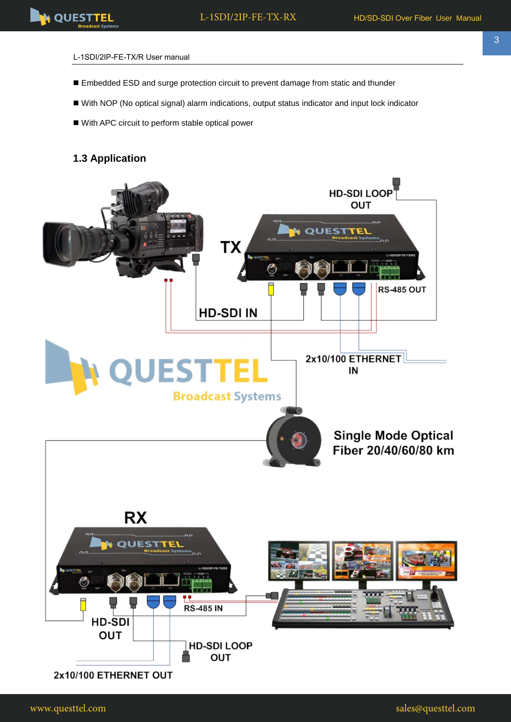#### L-1SDI/2IP-FE-TX/R User manual

- Embedded ESD and surge protection circuit to prevent damage from static and thunder
- With NOP (No optical signal) alarm indications, output status indicator and input lock indicator
- With APC circuit to perform stable optical power

#### **1.3 Application**

<span id="page-3-0"></span>



3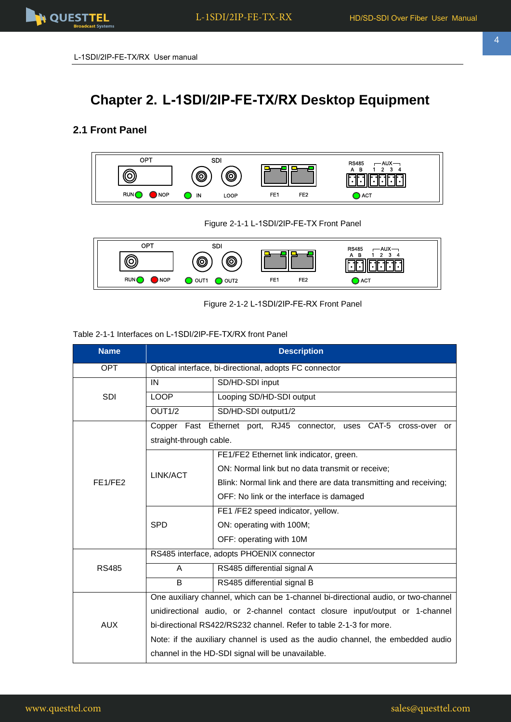

# <span id="page-4-0"></span>**Chapter 2. L-1SDI/2IP-FE-TX/RX Desktop Equipment**

#### <span id="page-4-1"></span>**2.1 Front Panel**



Figure 2-1-1 L-1SDI/2IP-FE-TX Front Panel



Figure 2-1-2 L-1SDI/2IP-FE-RX Front Panel

#### Table 2-1-1 Interfaces on L-1SDI/2IP-FE-TX/RX front Panel

| <b>Name</b>                      | <b>Description</b>                                                                 |                                                                     |  |  |
|----------------------------------|------------------------------------------------------------------------------------|---------------------------------------------------------------------|--|--|
| <b>OPT</b>                       | Optical interface, bi-directional, adopts FC connector                             |                                                                     |  |  |
|                                  | IN                                                                                 | SD/HD-SDI input                                                     |  |  |
| <b>SDI</b>                       | <b>LOOP</b>                                                                        | Looping SD/HD-SDI output                                            |  |  |
|                                  | OUT <sub>1/2</sub>                                                                 | SD/HD-SDI output1/2                                                 |  |  |
|                                  |                                                                                    | Copper Fast Ethernet port, RJ45 connector, uses CAT-5 cross-over or |  |  |
|                                  | straight-through cable.                                                            |                                                                     |  |  |
|                                  |                                                                                    | FE1/FE2 Ethernet link indicator, green.                             |  |  |
|                                  | LINK/ACT                                                                           | ON: Normal link but no data transmit or receive;                    |  |  |
| FE <sub>1</sub> /FE <sub>2</sub> |                                                                                    | Blink: Normal link and there are data transmitting and receiving;   |  |  |
|                                  |                                                                                    | OFF: No link or the interface is damaged                            |  |  |
|                                  |                                                                                    | FE1 /FE2 speed indicator, yellow.                                   |  |  |
|                                  | <b>SPD</b>                                                                         | ON: operating with 100M;                                            |  |  |
|                                  |                                                                                    | OFF: operating with 10M                                             |  |  |
|                                  | RS485 interface, adopts PHOENIX connector                                          |                                                                     |  |  |
| <b>RS485</b>                     | A                                                                                  | RS485 differential signal A                                         |  |  |
|                                  | B                                                                                  | RS485 differential signal B                                         |  |  |
|                                  | One auxiliary channel, which can be 1-channel bi-directional audio, or two-channel |                                                                     |  |  |
| <b>AUX</b>                       | unidirectional audio, or 2-channel contact closure input/output or 1-channel       |                                                                     |  |  |
|                                  | bi-directional RS422/RS232 channel. Refer to table 2-1-3 for more.                 |                                                                     |  |  |
|                                  | Note: if the auxiliary channel is used as the audio channel, the embedded audio    |                                                                     |  |  |
|                                  | channel in the HD-SDI signal will be unavailable.                                  |                                                                     |  |  |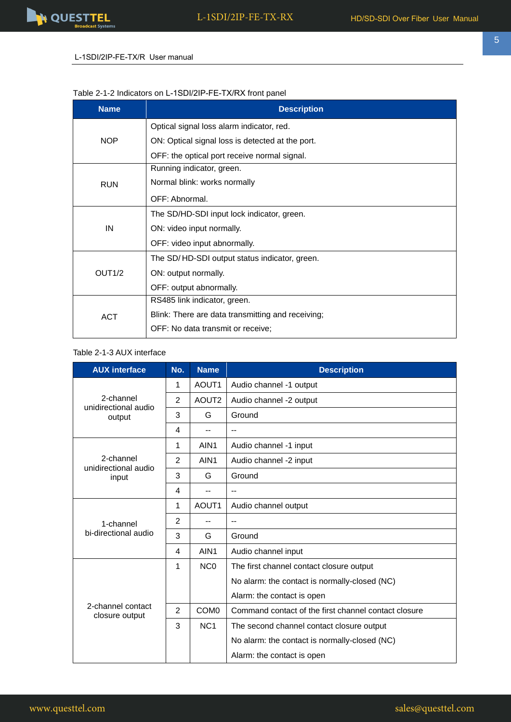5

#### L-1SDI/2IP-FE-TX/R User manual

#### Table 2-1-2 Indicators on L-1SDI/2IP-FE-TX/RX front panel

| <b>Name</b>        | <b>Description</b>                                |  |  |
|--------------------|---------------------------------------------------|--|--|
|                    | Optical signal loss alarm indicator, red.         |  |  |
| <b>NOP</b>         | ON: Optical signal loss is detected at the port.  |  |  |
|                    | OFF: the optical port receive normal signal.      |  |  |
|                    | Running indicator, green.                         |  |  |
| <b>RUN</b>         | Normal blink: works normally                      |  |  |
|                    | OFF: Abnormal.                                    |  |  |
|                    | The SD/HD-SDI input lock indicator, green.        |  |  |
| IN                 | ON: video input normally.                         |  |  |
|                    | OFF: video input abnormally.                      |  |  |
|                    | The SD/HD-SDI output status indicator, green.     |  |  |
| OUT <sub>1/2</sub> | ON: output normally.                              |  |  |
|                    | OFF: output abnormally.                           |  |  |
|                    | RS485 link indicator, green.                      |  |  |
| <b>ACT</b>         | Blink: There are data transmitting and receiving; |  |  |
|                    | OFF: No data transmit or receive;                 |  |  |

#### Table 2-1-3 AUX interface

| <b>AUX</b> interface                | No.            | <b>Name</b>       | <b>Description</b>                                   |
|-------------------------------------|----------------|-------------------|------------------------------------------------------|
|                                     | 1              | AOUT <sub>1</sub> | Audio channel -1 output                              |
| 2-channel<br>unidirectional audio   | $\overline{2}$ | AOUT <sub>2</sub> | Audio channel -2 output                              |
| output                              | 3              | G                 | Ground                                               |
|                                     | 4              | $-$               | $- -$                                                |
|                                     | 1              | AIN <sub>1</sub>  | Audio channel -1 input                               |
| 2-channel<br>unidirectional audio   | $\overline{2}$ | AIN <sub>1</sub>  | Audio channel -2 input                               |
| input                               | 3              | G                 | Ground                                               |
|                                     | 4              | $\qquad \qquad -$ | $\overline{\phantom{a}}$                             |
|                                     | 1              | AOUT1             | Audio channel output                                 |
| 1-channel                           | $\overline{2}$ | $\qquad \qquad -$ | --                                                   |
| bi-directional audio                | 3              | G                 | Ground                                               |
|                                     | 4              | AIN <sub>1</sub>  | Audio channel input                                  |
|                                     | 1              | N <sub>C</sub> O  | The first channel contact closure output             |
|                                     |                |                   | No alarm: the contact is normally-closed (NC)        |
|                                     |                |                   | Alarm: the contact is open                           |
| 2-channel contact<br>closure output | $\overline{2}$ | COM <sub>0</sub>  | Command contact of the first channel contact closure |
|                                     | 3              | NC <sub>1</sub>   | The second channel contact closure output            |
|                                     |                |                   | No alarm: the contact is normally-closed (NC)        |
|                                     |                |                   | Alarm: the contact is open                           |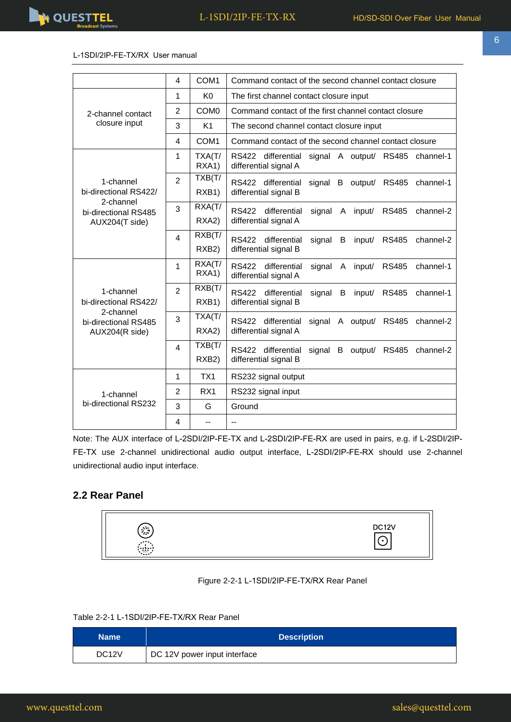

L-1SDI/2IP-FE-TX/RX User manual

|                                                     | 4                       | COM <sub>1</sub>             | Command contact of the second channel contact closure                                                       |  |  |  |
|-----------------------------------------------------|-------------------------|------------------------------|-------------------------------------------------------------------------------------------------------------|--|--|--|
|                                                     | 1                       | K <sub>0</sub>               | The first channel contact closure input                                                                     |  |  |  |
| 2-channel contact                                   | $\overline{2}$          | COM <sub>0</sub>             | Command contact of the first channel contact closure                                                        |  |  |  |
| closure input                                       | 3                       | K <sub>1</sub>               | The second channel contact closure input                                                                    |  |  |  |
|                                                     | 4                       | COM <sub>1</sub>             | Command contact of the second channel contact closure                                                       |  |  |  |
|                                                     | 1                       | TXA(T/<br>RXA1)              | RS422 differential<br>signal A output/ RS485<br>channel-1<br>differential signal A                          |  |  |  |
| 1-channel<br>bi-directional RS422/                  | $\overline{2}$          | TXB(T/<br>RXB <sub>1</sub> ) | RS422 differential<br>signal<br>B<br>output/ RS485<br>channel-1<br>differential signal B                    |  |  |  |
| 2-channel<br>bi-directional RS485<br>AUX204(T side) | 3                       | RXA(T/<br>RXA2)              | RS422<br>differential<br>signal<br>A<br>input/<br><b>RS485</b><br>channel-2<br>differential signal A        |  |  |  |
|                                                     | $\overline{\mathbf{4}}$ | RXB(T/<br>RXB <sub>2</sub> ) | RS422<br>differential<br>signal<br>B<br>input/<br><b>RS485</b><br>channel-2<br>differential signal B        |  |  |  |
|                                                     | 1                       | RXA(T/<br>RXA1)              | <b>RS422</b><br>differential<br>signal<br><b>RS485</b><br>channel-1<br>A<br>input/<br>differential signal A |  |  |  |
| 1-channel<br>bi-directional RS422/                  | $\overline{2}$          | $\overline{R}XB(T)$<br>RXB1) | <b>RS422</b><br>channel-1<br>differential<br>signal<br>B<br><b>RS485</b><br>input/<br>differential signal B |  |  |  |
| 2-channel<br>bi-directional RS485<br>AUX204(R side) | 3                       | TXA(T/<br>RXA2)              | RS422 differential<br>channel-2<br>signal<br>A output/ RS485<br>differential signal A                       |  |  |  |
|                                                     | $\overline{\mathbf{4}}$ | TXB(T/<br>RXB <sub>2</sub> ) | RS422 differential<br>signal<br>B<br>output/ RS485<br>channel-2<br>differential signal B                    |  |  |  |
|                                                     | 1                       | TX1                          | RS232 signal output                                                                                         |  |  |  |
| 1-channel                                           | $\overline{2}$          | RX <sub>1</sub>              | RS232 signal input                                                                                          |  |  |  |
| bi-directional RS232                                | 3                       | G                            | Ground                                                                                                      |  |  |  |
|                                                     | 4                       | $-$                          | $-$                                                                                                         |  |  |  |

Note: The AUX interface of L-2SDI/2IP-FE-TX and L-2SDI/2IP-FE-RX are used in pairs, e.g. if L-2SDI/2IP-FE-TX use 2-channel unidirectional audio output interface, L-2SDI/2IP-FE-RX should use 2-channel unidirectional audio input interface.

#### <span id="page-6-0"></span>**2.2 Rear Panel**



#### Figure 2-2-1 L-1SDI/2IP-FE-TX/RX Rear Panel

#### Table 2-2-1 L-1SDI/2IP-FE-TX/RX Rear Panel

| <b>Name</b>        | <b>Description</b>           |
|--------------------|------------------------------|
| DC <sub>12</sub> V | DC 12V power input interface |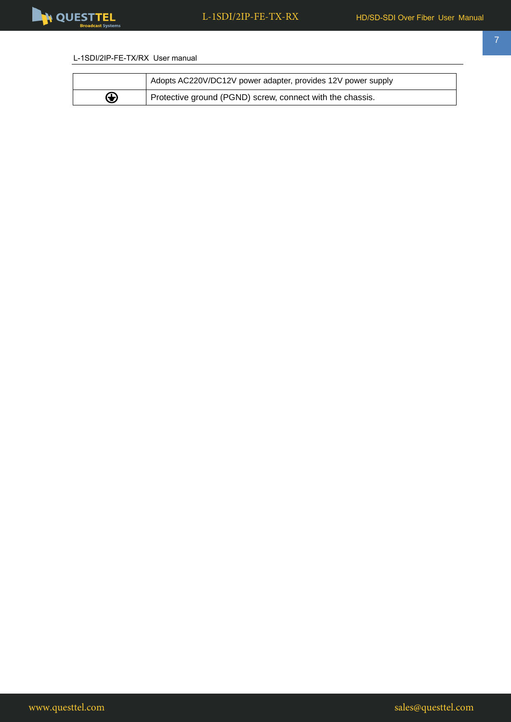

 $\overline{\phantom{a}}$ 

#### L-1SDI/2IP-FE-TX/RX User manual

|   | Adopts AC220V/DC12V power adapter, provides 12V power supply |
|---|--------------------------------------------------------------|
| ⊕ | Protective ground (PGND) screw, connect with the chassis.    |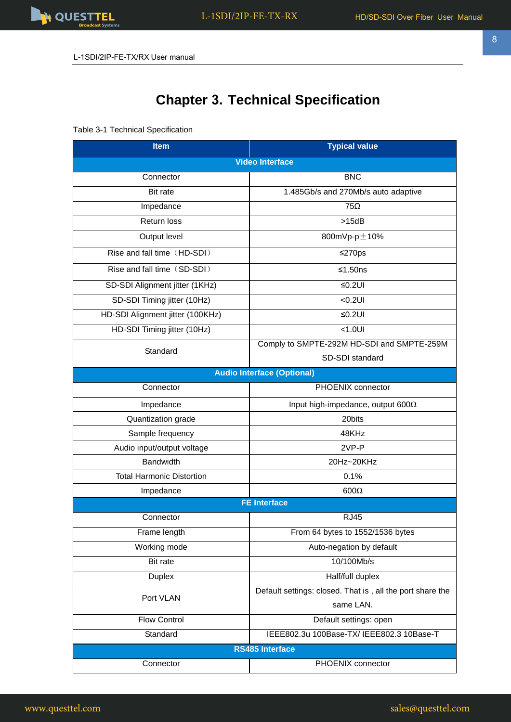# **Chapter 3. Technical Specification**

Table 3-1 Technical Specification

| <b>Item</b>                      | <b>Typical value</b>                                      |  |  |  |
|----------------------------------|-----------------------------------------------------------|--|--|--|
| <b>Video Interface</b>           |                                                           |  |  |  |
| Connector                        | <b>BNC</b>                                                |  |  |  |
| Bit rate                         | 1.485Gb/s and 270Mb/s auto adaptive                       |  |  |  |
| Impedance                        | $75\Omega$                                                |  |  |  |
| <b>Return loss</b>               | >15dB                                                     |  |  |  |
| Output level                     | 800mVp-p±10%                                              |  |  |  |
| Rise and fall time (HD-SDI)      | ≤270ps                                                    |  |  |  |
| Rise and fall time (SD-SDI)      | $≤1.50ns$                                                 |  |  |  |
| SD-SDI Alignment jitter (1KHz)   | $≤0.2UI$                                                  |  |  |  |
| SD-SDI Timing jitter (10Hz)      | $<0.2$ UI                                                 |  |  |  |
| HD-SDI Alignment jitter (100KHz) | $≤0.2UI$                                                  |  |  |  |
| HD-SDI Timing jitter (10Hz)      | $< 1.0$ UI                                                |  |  |  |
| Standard                         | Comply to SMPTE-292M HD-SDI and SMPTE-259M                |  |  |  |
|                                  | SD-SDI standard                                           |  |  |  |
|                                  | <b>Audio Interface (Optional)</b>                         |  |  |  |
| Connector                        | PHOENIX connector                                         |  |  |  |
| Impedance                        | Input high-impedance, output 600 $\Omega$                 |  |  |  |
| Quantization grade               | 20bits                                                    |  |  |  |
| Sample frequency                 | 48KHz                                                     |  |  |  |
| Audio input/output voltage       | 2VP-P                                                     |  |  |  |
| <b>Bandwidth</b>                 | 20Hz~20KHz                                                |  |  |  |
| <b>Total Harmonic Distortion</b> | 0.1%                                                      |  |  |  |
| Impedance                        | $600\Omega$                                               |  |  |  |
|                                  | <b>FE Interface</b>                                       |  |  |  |
| Connector                        | <b>RJ45</b>                                               |  |  |  |
| Frame length                     | From 64 bytes to 1552/1536 bytes                          |  |  |  |
| Working mode                     | Auto-negation by default                                  |  |  |  |
| Bit rate                         | 10/100Mb/s                                                |  |  |  |
| <b>Duplex</b>                    | Half/full duplex                                          |  |  |  |
| Port VLAN                        | Default settings: closed. That is, all the port share the |  |  |  |
|                                  | same LAN.                                                 |  |  |  |
| <b>Flow Control</b>              | Default settings: open                                    |  |  |  |
| Standard                         | IEEE802.3u 100Base-TX/ IEEE802.3 10Base-T                 |  |  |  |
|                                  | <b>RS485 Interface</b>                                    |  |  |  |
| Connector                        | PHOENIX connector                                         |  |  |  |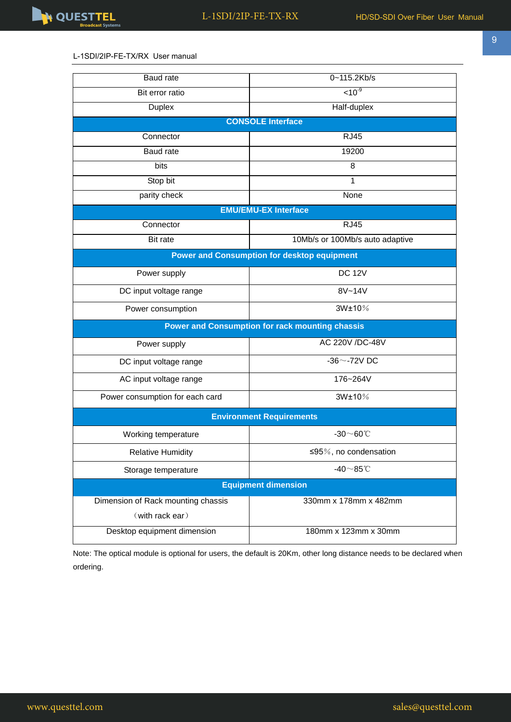

#### L-1SDI/2IP-FE-TX/RX User manual

| Baud rate                                              | 0~115.2Kb/s                     |  |  |  |  |
|--------------------------------------------------------|---------------------------------|--|--|--|--|
| Bit error ratio                                        | $10^{-9}$                       |  |  |  |  |
| <b>Duplex</b>                                          | Half-duplex                     |  |  |  |  |
| <b>CONSOLE Interface</b>                               |                                 |  |  |  |  |
| Connector                                              | <b>RJ45</b>                     |  |  |  |  |
| Baud rate                                              | 19200                           |  |  |  |  |
| bits                                                   | 8                               |  |  |  |  |
| Stop bit                                               | $\mathbf{1}$                    |  |  |  |  |
| parity check                                           | None                            |  |  |  |  |
|                                                        | <b>EMU/EMU-EX Interface</b>     |  |  |  |  |
| Connector                                              | <b>RJ45</b>                     |  |  |  |  |
| Bit rate                                               | 10Mb/s or 100Mb/s auto adaptive |  |  |  |  |
| <b>Power and Consumption for desktop equipment</b>     |                                 |  |  |  |  |
| Power supply                                           | <b>DC 12V</b>                   |  |  |  |  |
| DC input voltage range                                 | 8V~14V                          |  |  |  |  |
| Power consumption                                      | 3W±10%                          |  |  |  |  |
| <b>Power and Consumption for rack mounting chassis</b> |                                 |  |  |  |  |
| Power supply                                           | AC 220V /DC-48V                 |  |  |  |  |
| DC input voltage range                                 | $-36$ $\sim$ -72V DC            |  |  |  |  |
| AC input voltage range                                 | 176~264V                        |  |  |  |  |
| Power consumption for each card                        | 3W±10%                          |  |  |  |  |
|                                                        | <b>Environment Requirements</b> |  |  |  |  |
| Working temperature                                    | $-30\sim60^{\circ}$ C           |  |  |  |  |
| <b>Relative Humidity</b>                               | ≤95%, no condensation           |  |  |  |  |
| Storage temperature                                    | -40 $\sim$ 85°C                 |  |  |  |  |
| <b>Equipment dimension</b>                             |                                 |  |  |  |  |
| Dimension of Rack mounting chassis                     | 330mm x 178mm x 482mm           |  |  |  |  |
| (with rack ear)                                        |                                 |  |  |  |  |
| Desktop equipment dimension                            | 180mm x 123mm x 30mm            |  |  |  |  |

Note: The optical module is optional for users, the default is 20Km, other long distance needs to be declared when ordering.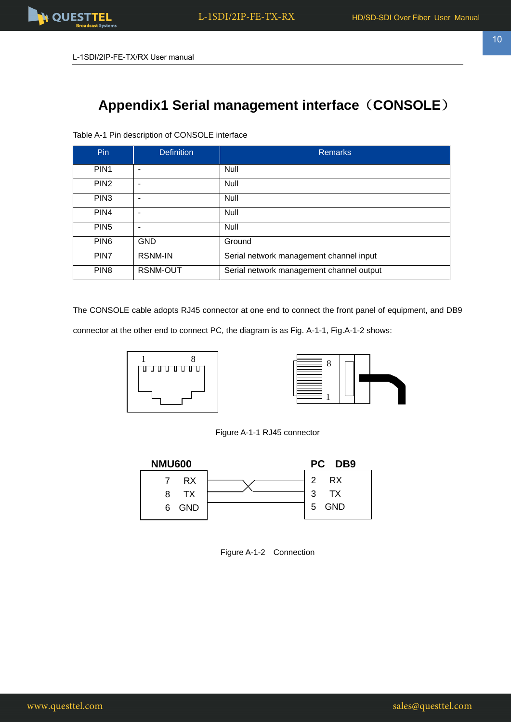

# **Appendix1 Serial management interface**(**CONSOLE**)

Table A-1 Pin description of CONSOLE interface

| Pin.             | <b>Definition</b> | <b>Remarks</b>                           |
|------------------|-------------------|------------------------------------------|
| PIN <sub>1</sub> |                   | <b>Null</b>                              |
| PIN <sub>2</sub> |                   | Null                                     |
| PIN <sub>3</sub> |                   | <b>Null</b>                              |
| PIN4             |                   | <b>Null</b>                              |
| PIN <sub>5</sub> |                   | <b>Null</b>                              |
| PIN <sub>6</sub> | <b>GND</b>        | Ground                                   |
| PIN <sub>7</sub> | <b>RSNM-IN</b>    | Serial network management channel input  |
| PIN <sub>8</sub> | RSNM-OUT          | Serial network management channel output |

The CONSOLE cable adopts RJ45 connector at one end to connect the front panel of equipment, and DB9

connector at the other end to connect PC, the diagram is as Fig. A-1-1, Fig.A-1-2 shows: